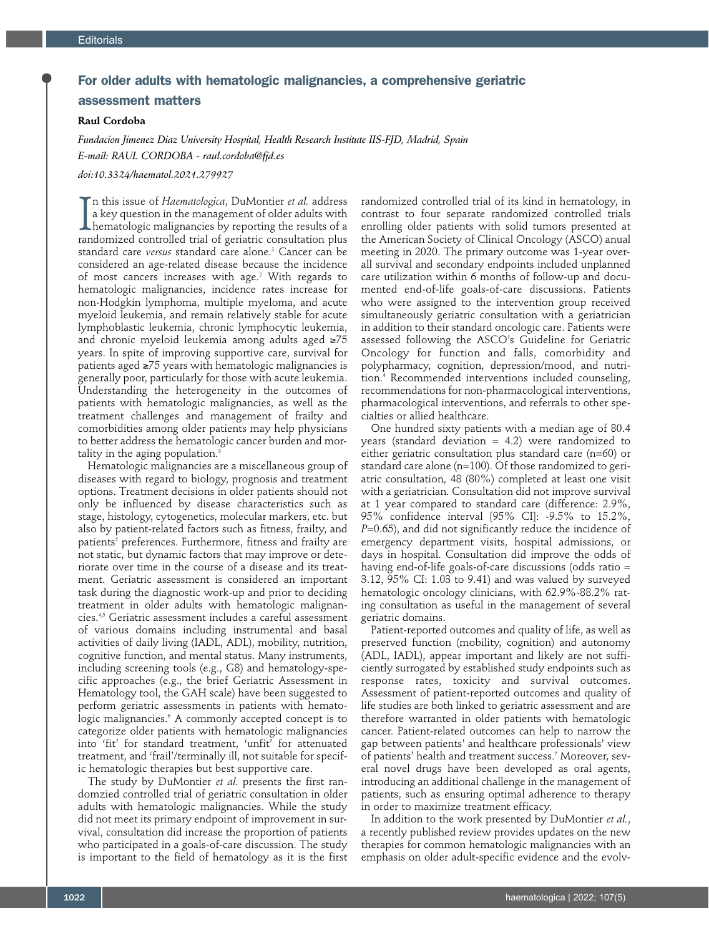## For older adults with hematologic malignancies, a comprehensive geriatric assessment matters

## **Raul Cordoba**

*Fundacion Jimenez Diaz University Hospital, Health Research Institute IIS-FJD, Madrid, Spain E-mail: RAUL CORDOBA - raul.cordoba@fjd.es* 

*doi:10.3324/haematol.2021.279927*

 $\prod_{\rm ran}$ n this issue of *Haematologica*, DuMontier *et al.* address a key question in the management of older adults with hematologic malignancies by reporting the results of a randomized controlled trial of geriatric consultation plus standard care *versus* standard care alone.1 Cancer can be considered an age-related disease because the incidence of most cancers increases with age.<sup>2</sup> With regards to hematologic malignancies, incidence rates increase for non-Hodgkin lymphoma, multiple myeloma, and acute myeloid leukemia, and remain relatively stable for acute lymphoblastic leukemia, chronic lymphocytic leukemia, and chronic myeloid leukemia among adults aged ≥75 years. In spite of improving supportive care, survival for patients aged ≥75 years with hematologic malignancies is generally poor, particularly for those with acute leukemia. Understanding the heterogeneity in the outcomes of patients with hematologic malignancies, as well as the treatment challenges and management of frailty and comorbidities among older patients may help physicians to better address the hematologic cancer burden and mortality in the aging population.<sup>3</sup>

Hematologic malignancies are a miscellaneous group of diseases with regard to biology, prognosis and treatment options. Treatment decisions in older patients should not only be influenced by disease characteristics such as stage, histology, cytogenetics, molecular markers, etc. but also by patient-related factors such as fitness, frailty, and patients' preferences. Furthermore, fitness and frailty are not static, but dynamic factors that may improve or deteriorate over time in the course of a disease and its treatment. Geriatric assessment is considered an important task during the diagnostic work-up and prior to deciding treatment in older adults with hematologic malignancies.4,5 Geriatric assessment includes a careful assessment of various domains including instrumental and basal activities of daily living (IADL, ADL), mobility, nutrition, cognitive function, and mental status. Many instruments, including screening tools (e.g., G8) and hematology-specific approaches (e.g., the brief Geriatric Assessment in Hematology tool, the GAH scale) have been suggested to perform geriatric assessments in patients with hematologic malignancies.6 A commonly accepted concept is to categorize older patients with hematologic malignancies into 'fit' for standard treatment, 'unfit' for attenuated treatment, and 'frail'/terminally ill, not suitable for specific hematologic therapies but best supportive care.

The study by DuMontier *et al.* presents the first randomzied controlled trial of geriatric consultation in older adults with hematologic malignancies. While the study did not meet its primary endpoint of improvement in survival, consultation did increase the proportion of patients who participated in a goals-of-care discussion. The study is important to the field of hematology as it is the first randomized controlled trial of its kind in hematology, in contrast to four separate randomized controlled trials enrolling older patients with solid tumors presented at the American Society of Clinical Oncology (ASCO) anual meeting in 2020. The primary outcome was 1-year overall survival and secondary endpoints included unplanned care utilization within 6 months of follow-up and documented end-of-life goals-of-care discussions. Patients who were assigned to the intervention group received simultaneously geriatric consultation with a geriatrician in addition to their standard oncologic care. Patients were assessed following the ASCO's Guideline for Geriatric Oncology for function and falls, comorbidity and polypharmacy, cognition, depression/mood, and nutrition.4 Recommended interventions included counseling, recommendations for non-pharmacological interventions, pharmacological interventions, and referrals to other specialties or allied healthcare.

One hundred sixty patients with a median age of 80.4 years (standard deviation = 4.2) were randomized to either geriatric consultation plus standard care (n=60) or standard care alone (n=100). Of those randomized to geriatric consultation, 48 (80%) completed at least one visit with a geriatrician. Consultation did not improve survival at 1 year compared to standard care (difference: 2.9%, 95% confidence interval [95% CI]: -9.5% to 15.2%, *P*=0.65), and did not significantly reduce the incidence of emergency department visits, hospital admissions, or days in hospital. Consultation did improve the odds of having end-of-life goals-of-care discussions (odds ratio = 3.12, 95% CI: 1.03 to 9.41) and was valued by surveyed hematologic oncology clinicians, with 62.9%-88.2% rating consultation as useful in the management of several geriatric domains.

Patient-reported outcomes and quality of life, as well as preserved function (mobility, cognition) and autonomy (ADL, IADL), appear important and likely are not sufficiently surrogated by established study endpoints such as response rates, toxicity and survival outcomes. Assessment of patient-reported outcomes and quality of life studies are both linked to geriatric assessment and are therefore warranted in older patients with hematologic cancer. Patient-related outcomes can help to narrow the gap between patients' and healthcare professionals' view of patients' health and treatment success.7 Moreover, several novel drugs have been developed as oral agents, introducing an additional challenge in the management of patients, such as ensuring optimal adherence to therapy in order to maximize treatment efficacy.

In addition to the work presented by DuMontier *et al.*, a recently published review provides updates on the new therapies for common hematologic malignancies with an emphasis on older adult-specific evidence and the evolv